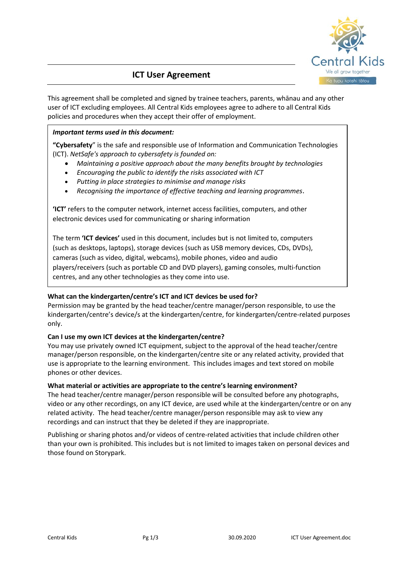

# **ICT User Agreement**

This agreement shall be completed and signed by trainee teachers, parents, whānau and any other user of ICT excluding employees. All Central Kids employees agree to adhere to all Central Kids policies and procedures when they accept their offer of employment.

## *Important terms used in this document:*

**"Cybersafety**" is the safe and responsible use of Information and Communication Technologies (ICT). *NetSafe's approach to cybersafety is founded on:*

- *Maintaining a positive approach about the many benefits brought by technologies*
- *Encouraging the public to identify the risks associated with ICT*
- *Putting in place strategies to minimise and manage risks*
- *Recognising the importance of effective teaching and learning programmes.*

**'ICT'** refers to the computer network, internet access facilities, computers, and other electronic devices used for communicating or sharing information

The term **'ICT devices'** used in this document, includes but is not limited to, computers (such as desktops, laptops), storage devices (such as USB memory devices, CDs, DVDs), cameras (such as video, digital, webcams), mobile phones, video and audio players/receivers (such as portable CD and DVD players), gaming consoles, multi-function centres, and any other technologies as they come into use.

## **What can the kindergarten/centre's ICT and ICT devices be used for?**

Permission may be granted by the head teacher/centre manager/person responsible, to use the kindergarten/centre's device/s at the kindergarten/centre, for kindergarten/centre-related purposes only.

## **Can I use my own ICT devices at the kindergarten/centre?**

You may use privately owned ICT equipment, subject to the approval of the head teacher/centre manager/person responsible, on the kindergarten/centre site or any related activity, provided that use is appropriate to the learning environment. This includes images and text stored on mobile phones or other devices.

## **What material or activities are appropriate to the centre's learning environment?**

The head teacher/centre manager/person responsible will be consulted before any photographs, video or any other recordings, on any ICT device, are used while at the kindergarten/centre or on any related activity. The head teacher/centre manager/person responsible may ask to view any recordings and can instruct that they be deleted if they are inappropriate.

Publishing or sharing photos and/or videos of centre-related activities that include children other than your own is prohibited. This includes but is not limited to images taken on personal devices and those found on Storypark.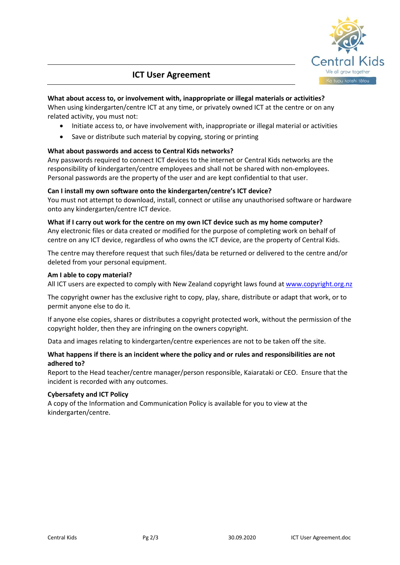

## **ICT User Agreement**

## **What about access to, or involvement with, inappropriate or illegal materials or activities?**

When using kindergarten/centre ICT at any time, or privately owned ICT at the centre or on any related activity, you must not:

- Initiate access to, or have involvement with, inappropriate or illegal material or activities
- Save or distribute such material by copying, storing or printing

## **What about passwords and access to Central Kids networks?**

Any passwords required to connect ICT devices to the internet or Central Kids networks are the responsibility of kindergarten/centre employees and shall not be shared with non-employees. Personal passwords are the property of the user and are kept confidential to that user.

## **Can I install my own software onto the kindergarten/centre's ICT device?**

You must not attempt to download, install, connect or utilise any unauthorised software or hardware onto any kindergarten/centre ICT device.

## **What if I carry out work for the centre on my own ICT device such as my home computer?**

Any electronic files or data created or modified for the purpose of completing work on behalf of centre on any ICT device, regardless of who owns the ICT device, are the property of Central Kids.

The centre may therefore request that such files/data be returned or delivered to the centre and/or deleted from your personal equipment.

## **Am I able to copy material?**

All ICT users are expected to comply with New Zealand copyright laws found at [www.copyright.org.nz](http://www.copyright.org.nz/)

The copyright owner has the exclusive right to copy, play, share, distribute or adapt that work, or to permit anyone else to do it.

If anyone else copies, shares or distributes a copyright protected work, without the permission of the copyright holder, then they are infringing on the owners copyright.

Data and images relating to kindergarten/centre experiences are not to be taken off the site.

## **What happens if there is an incident where the policy and or rules and responsibilities are not adhered to?**

Report to the Head teacher/centre manager/person responsible, Kaiarataki or CEO. Ensure that the incident is recorded with any outcomes.

## **Cybersafety and ICT Policy**

A copy of the Information and Communication Policy is available for you to view at the kindergarten/centre.